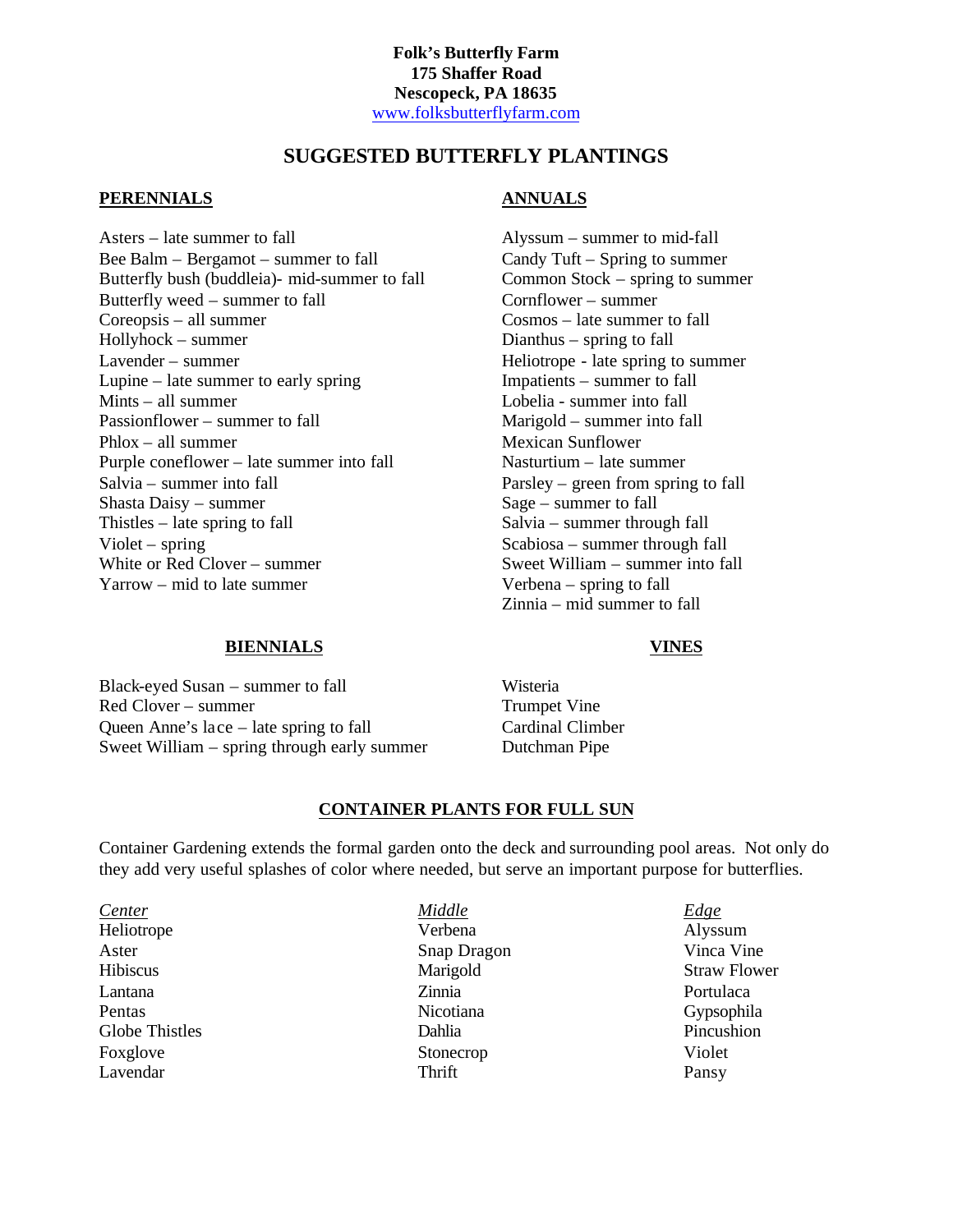# **SUGGESTED BUTTERFLY PLANTINGS**

## **PERENNIALS**

Asters – late summer to fall Bee Balm – Bergamot – summer to fall Butterfly bush (buddleia)- mid-summer to fall Butterfly weed – summer to fall Coreopsis – all summer Hollyhock – summer Lavender – summer Lupine – late summer to early spring Mints – all summer Passionflower – summer to fall Phlox – all summer Purple coneflower – late summer into fall Salvia – summer into fall Shasta Daisy – summer Thistles – late spring to fall Violet – spring White or Red Clover – summer Yarrow – mid to late summer

## **ANNUALS**

Alyssum – summer to mid-fall Candy Tuft – Spring to summer Common Stock – spring to summer Cornflower – summer Cosmos – late summer to fall Dianthus – spring to fall Heliotrope - late spring to summer Impatients – summer to fall Lobelia - summer into fall Marigold – summer into fall Mexican Sunflower Nasturtium – late summer Parsley – green from spring to fall Sage – summer to fall Salvia – summer through fall Scabiosa – summer through fall Sweet William – summer into fall Verbena – spring to fall Zinnia – mid summer to fall

#### **VINES**

Black-eyed Susan – summer to fall Red Clover – summer Queen Anne's lace – late spring to fall Sweet William – spring through early summer

**BIENNIALS**

Wisteria Trumpet Vine Cardinal Climber Dutchman Pipe

### **CONTAINER PLANTS FOR FULL SUN**

Container Gardening extends the formal garden onto the deck and surrounding pool areas. Not only do they add very useful splashes of color where needed, but serve an important purpose for butterflies.

*Center Middle Edge* Heliotrope Verbena Alyssum Aster Snap Dragon Vinca Vine Hibiscus Marigold Straw Flower Lantana Zinnia Portulaca Pentas **Nicotiana** Gypsophila Globe Thistles **Solution** Dahlia Pincushion Pincushion Foxglove Stonecrop Stonecrop Violet Lavendar Pansy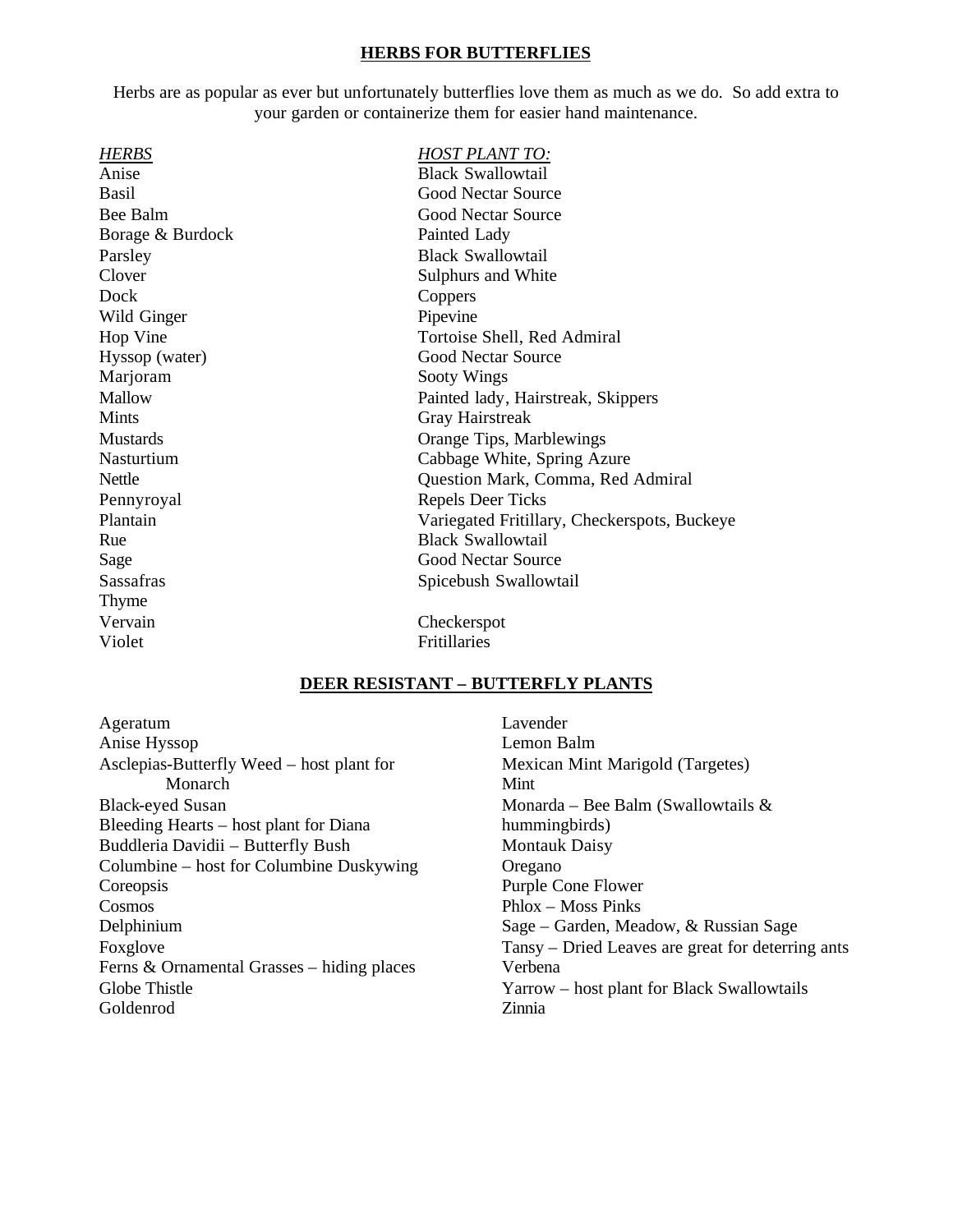### **HERBS FOR BUTTERFLIES**

Herbs are as popular as ever but unfortunately butterflies love them as much as we do. So add extra to your garden or containerize them for easier hand maintenance.

| <b>HOST PLANT TO:</b>                        |  |
|----------------------------------------------|--|
| <b>Black Swallowtail</b>                     |  |
| Good Nectar Source                           |  |
| <b>Good Nectar Source</b>                    |  |
| Painted Lady                                 |  |
| <b>Black Swallowtail</b>                     |  |
| Sulphurs and White                           |  |
| Coppers                                      |  |
| Pipevine                                     |  |
| Tortoise Shell, Red Admiral                  |  |
| <b>Good Nectar Source</b>                    |  |
| Sooty Wings                                  |  |
| Painted lady, Hairstreak, Skippers           |  |
| Gray Hairstreak                              |  |
| Orange Tips, Marblewings                     |  |
| Cabbage White, Spring Azure                  |  |
| Question Mark, Comma, Red Admiral            |  |
| Repels Deer Ticks                            |  |
| Variegated Fritillary, Checkerspots, Buckeye |  |
| <b>Black Swallowtail</b>                     |  |
| <b>Good Nectar Source</b>                    |  |
| Spicebush Swallowtail                        |  |
|                                              |  |
|                                              |  |
| Fritillaries                                 |  |
| Checkerspot                                  |  |

## **DEER RESISTANT – BUTTERFLY PLANTS**

Ageratum Anise Hyssop Asclepias-Butterfly Weed – host plant for Monarch Black-eyed Susan Bleeding Hearts – host plant for Diana Buddleria Davidii – Butterfly Bush Columbine – host for Columbine Duskywing **Coreopsis** Cosmos Delphinium Foxglove Ferns & Ornamental Grasses – hiding places Globe Thistle Goldenrod

Lavender Lemon Balm Mexican Mint Marigold (Targetes) Mint Monarda – Bee Balm (Swallowtails & hummingbirds) Montauk Daisy Oregano Purple Cone Flower Phlox – Moss Pinks Sage – Garden, Meadow, & Russian Sage Tansy – Dried Leaves are great for deterring ants Verbena Yarrow – host plant for Black Swallowtails Zinnia